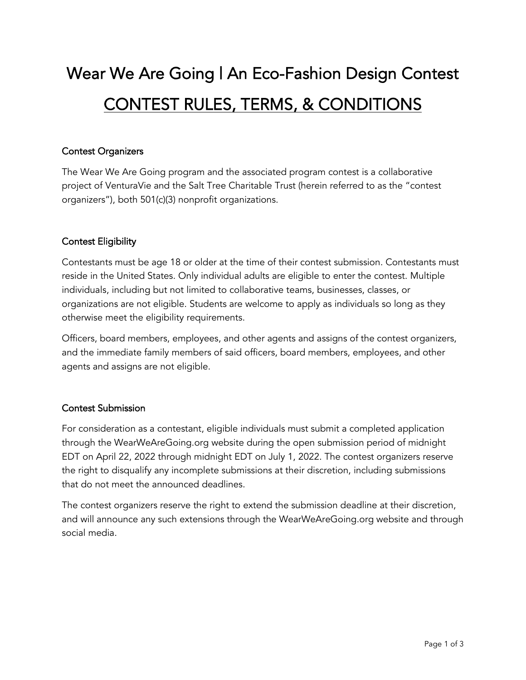# Wear We Are Going | An Eco-Fashion Design Contest CONTEST RULES, TERMS, & CONDITIONS

## Contest Organizers

The Wear We Are Going program and the associated program contest is a collaborative project of VenturaVie and the Salt Tree Charitable Trust (herein referred to as the "contest organizers"), both 501(c)(3) nonprofit organizations.

## Contest Eligibility

Contestants must be age 18 or older at the time of their contest submission. Contestants must reside in the United States. Only individual adults are eligible to enter the contest. Multiple individuals, including but not limited to collaborative teams, businesses, classes, or organizations are not eligible. Students are welcome to apply as individuals so long as they otherwise meet the eligibility requirements.

Officers, board members, employees, and other agents and assigns of the contest organizers, and the immediate family members of said officers, board members, employees, and other agents and assigns are not eligible.

## Contest Submission

For consideration as a contestant, eligible individuals must submit a completed application through the WearWeAreGoing.org website during the open submission period of midnight EDT on April 22, 2022 through midnight EDT on July 1, 2022. The contest organizers reserve the right to disqualify any incomplete submissions at their discretion, including submissions that do not meet the announced deadlines.

The contest organizers reserve the right to extend the submission deadline at their discretion, and will announce any such extensions through the WearWeAreGoing.org website and through social media.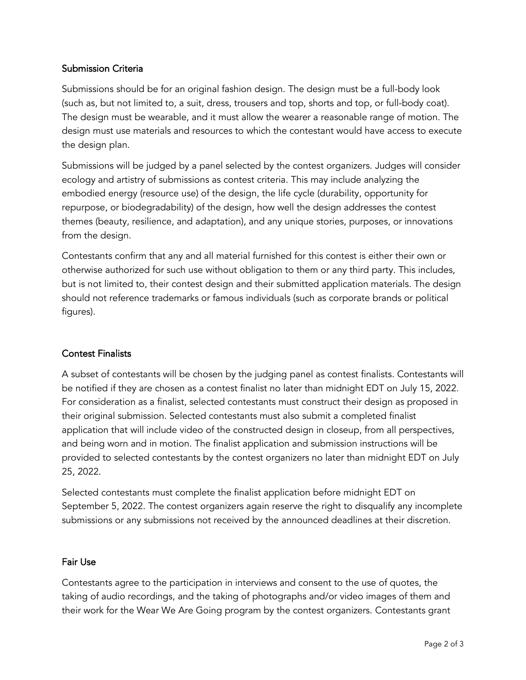## Submission Criteria

Submissions should be for an original fashion design. The design must be a full-body look (such as, but not limited to, a suit, dress, trousers and top, shorts and top, or full-body coat). The design must be wearable, and it must allow the wearer a reasonable range of motion. The design must use materials and resources to which the contestant would have access to execute the design plan.

Submissions will be judged by a panel selected by the contest organizers. Judges will consider ecology and artistry of submissions as contest criteria. This may include analyzing the embodied energy (resource use) of the design, the life cycle (durability, opportunity for repurpose, or biodegradability) of the design, how well the design addresses the contest themes (beauty, resilience, and adaptation), and any unique stories, purposes, or innovations from the design.

Contestants confirm that any and all material furnished for this contest is either their own or otherwise authorized for such use without obligation to them or any third party. This includes, but is not limited to, their contest design and their submitted application materials. The design should not reference trademarks or famous individuals (such as corporate brands or political figures).

#### Contest Finalists

A subset of contestants will be chosen by the judging panel as contest finalists. Contestants will be notified if they are chosen as a contest finalist no later than midnight EDT on July 15, 2022. For consideration as a finalist, selected contestants must construct their design as proposed in their original submission. Selected contestants must also submit a completed finalist application that will include video of the constructed design in closeup, from all perspectives, and being worn and in motion. The finalist application and submission instructions will be provided to selected contestants by the contest organizers no later than midnight EDT on July 25, 2022.

Selected contestants must complete the finalist application before midnight EDT on September 5, 2022. The contest organizers again reserve the right to disqualify any incomplete submissions or any submissions not received by the announced deadlines at their discretion.

#### Fair Use

Contestants agree to the participation in interviews and consent to the use of quotes, the taking of audio recordings, and the taking of photographs and/or video images of them and their work for the Wear We Are Going program by the contest organizers. Contestants grant